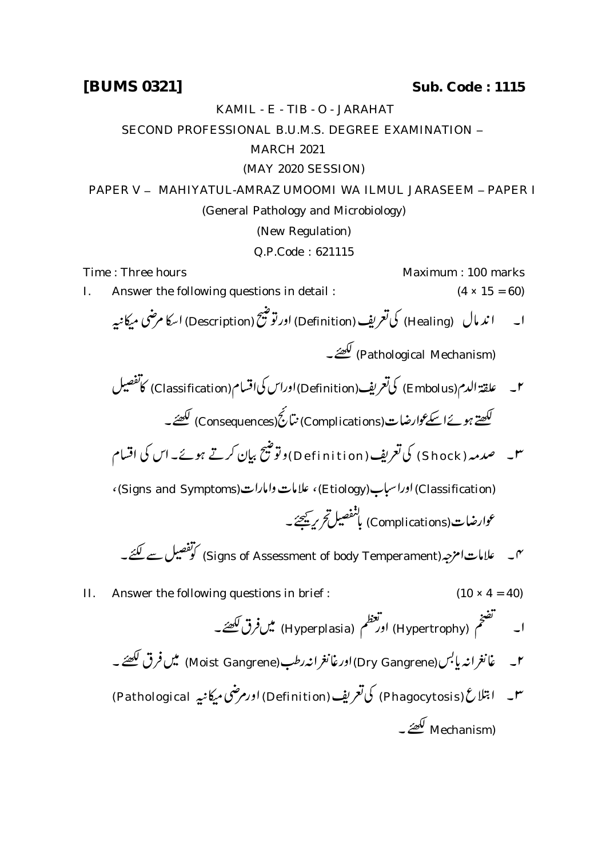**[BUMS 0321] Sub. Code : 1115**

KAMIL - E - TIB - O - JARAHAT

SECOND PROFESSIONAL B.U.M.S. DEGREE EXAMINATION -

## MARCH 2021

(MAY 2020 SESSION)

PAPER V - MAHIYATUL-AMRAZ UMOOMI WA ILMUL JARASEEM - PAPER I (General Pathology and Microbiology) (New Regulation)

Q.P.Code : 621115

Time : Three hours **Maximum** : 100 marks I. Answer the following questions in detail :  $(4 \times 15 = 60)$ ا۔ اند مال (Healing) کی تعریف (Definition) اور توشیح (Description) اسکا مرضی میکانیه (Pathological Mechanism) م - علقة الدم (Embolus) كى تعريف (Definition) اوراس كى اقسام (Classification) كاتفصيل لکھتے ہوئےاسکےعوارضات(Complications) نتائج (Consequences) لکھئے۔ س \_ صدمہ ( Shock ) کی تعریف ( Definition ) وتوشیح بیان کرتے ہوئے۔ اس کی اقسام (Classification) اوراسباب (Etiology)، علامات وامارات (Signs and Symptoms)، عوارضات(Complications) بانفصيل تحري<u>ه بحي</u>جة به س علامات امزجہ (Signs of Assessment of body Temperament) کوتفصیل سے لکتے۔ II. Answer the following questions in brief :  $(10 \times 4 = 40)$ اور مطلم (Hyperplasia) میں فرق لکھئے۔ نعظ م  $\ddot{\cdot}$ (Hypertrophy) نف  $\ddot{\phantom{a}}$ ئم .<br>تضر  $\overline{\phantom{a}}$ ۲۔ غانغرانہ پابس (Dry Gangrene) اورغانغرانہ رطب (Moist Gangrene) میں فرق لکھئے۔ س – ابتلاع (Phagocytosis) کی تعریف (Definition) اورم ضی میکانیه Pathological) Mechanism) لکھۂ ۔